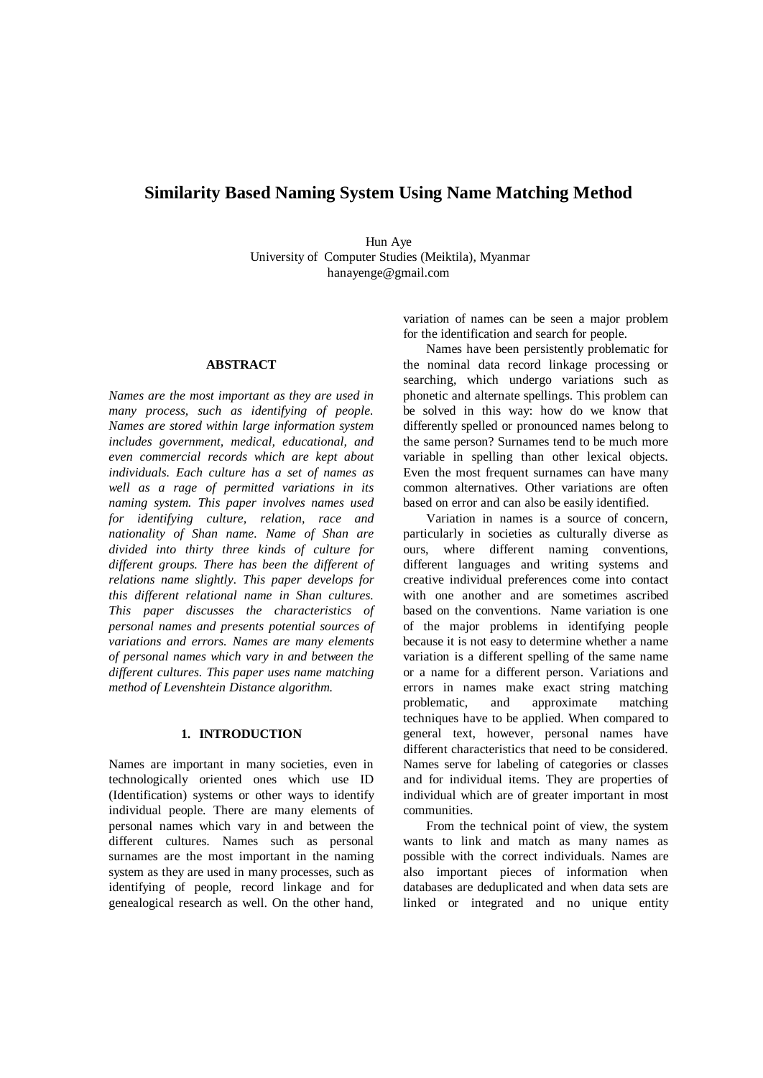# **Similarity Based Naming System Using Name Matching Method**

Hun Aye University of Computer Studies (Meiktila), Myanmar hanayenge@gmail.com

#### **ABSTRACT**

*Names are the most important as they are used in many process, such as identifying of people. Names are stored within large information system includes government, medical, educational, and even commercial records which are kept about individuals. Each culture has a set of names as well as a rage of permitted variations in its naming system. This paper involves names used for identifying culture, relation, race and nationality of Shan name. Name of Shan are divided into thirty three kinds of culture for different groups. There has been the different of relations name slightly. This paper develops for this different relational name in Shan cultures. This paper discusses the characteristics of personal names and presents potential sources of variations and errors. Names are many elements of personal names which vary in and between the different cultures. This paper uses name matching method of Levenshtein Distance algorithm.* 

## **1. INTRODUCTION**

Names are important in many societies, even in technologically oriented ones which use ID (Identification) systems or other ways to identify individual people. There are many elements of personal names which vary in and between the different cultures. Names such as personal surnames are the most important in the naming system as they are used in many processes, such as identifying of people, record linkage and for genealogical research as well. On the other hand, variation of names can be seen a major problem for the identification and search for people.

Names have been persistently problematic for the nominal data record linkage processing or searching, which undergo variations such as phonetic and alternate spellings. This problem can be solved in this way: how do we know that differently spelled or pronounced names belong to the same person? Surnames tend to be much more variable in spelling than other lexical objects. Even the most frequent surnames can have many common alternatives. Other variations are often based on error and can also be easily identified.

Variation in names is a source of concern, particularly in societies as culturally diverse as ours, where different naming conventions, different languages and writing systems and creative individual preferences come into contact with one another and are sometimes ascribed based on the conventions. Name variation is one of the major problems in identifying people because it is not easy to determine whether a name variation is a different spelling of the same name or a name for a different person. Variations and errors in names make exact string matching problematic, and approximate matching techniques have to be applied. When compared to general text, however, personal names have different characteristics that need to be considered. Names serve for labeling of categories or classes and for individual items. They are properties of individual which are of greater important in most communities.

From the technical point of view, the system wants to link and match as many names as possible with the correct individuals. Names are also important pieces of information when databases are deduplicated and when data sets are linked or integrated and no unique entity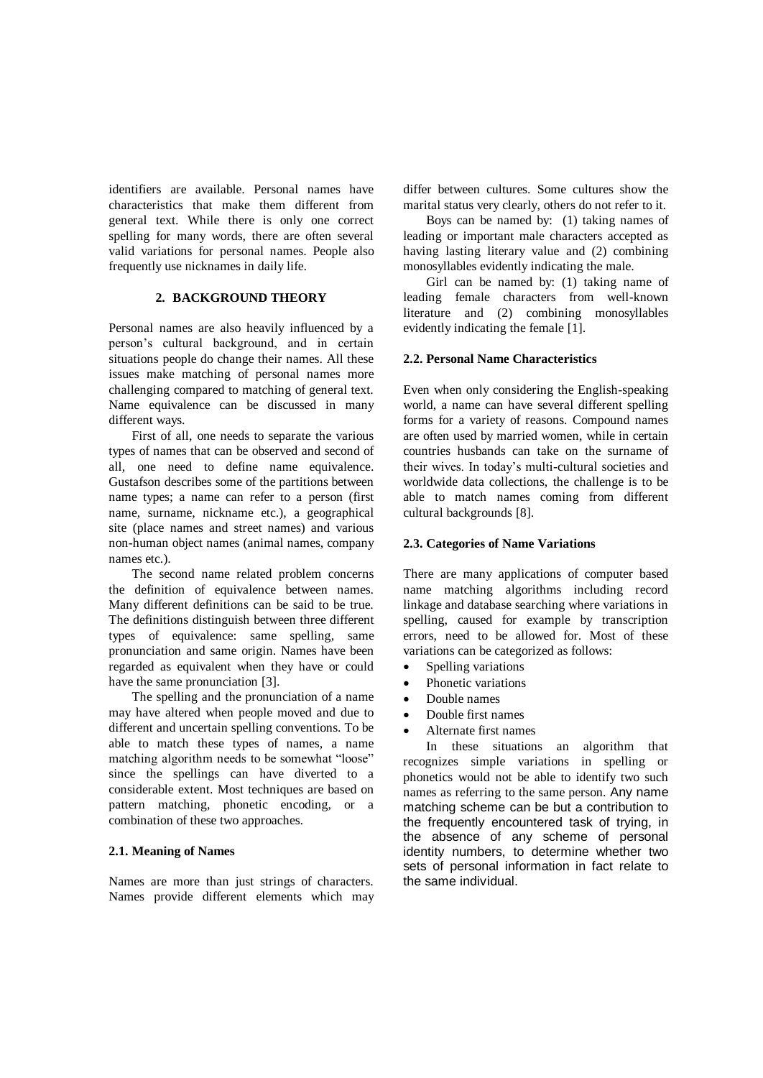identifiers are available. Personal names have characteristics that make them different from general text. While there is only one correct spelling for many words, there are often several valid variations for personal names. People also frequently use nicknames in daily life.

### **2. BACKGROUND THEORY**

Personal names are also heavily influenced by a person's cultural background, and in certain situations people do change their names. All these issues make matching of personal names more challenging compared to matching of general text. Name equivalence can be discussed in many different ways.

First of all, one needs to separate the various types of names that can be observed and second of all, one need to define name equivalence. Gustafson describes some of the partitions between name types; a name can refer to a person (first name, surname, nickname etc.), a geographical site (place names and street names) and various non-human object names (animal names, company names etc.).

The second name related problem concerns the definition of equivalence between names. Many different definitions can be said to be true. The definitions distinguish between three different types of equivalence: same spelling, same pronunciation and same origin. Names have been regarded as equivalent when they have or could have the same pronunciation [3].

The spelling and the pronunciation of a name may have altered when people moved and due to different and uncertain spelling conventions. To be able to match these types of names, a name matching algorithm needs to be somewhat "loose" since the spellings can have diverted to a considerable extent. Most techniques are based on pattern matching, phonetic encoding, or a combination of these two approaches.

#### **2.1. Meaning of Names**

Names are more than just strings of characters. Names provide different elements which may differ between cultures. Some cultures show the marital status very clearly, others do not refer to it.

Boys can be named by: (1) taking names of leading or important male characters accepted as having lasting literary value and (2) combining monosyllables evidently indicating the male.

Girl can be named by: (1) taking name of leading female characters from well-known literature and (2) combining monosyllables evidently indicating the female [1].

#### **2.2. Personal Name Characteristics**

Even when only considering the English-speaking world, a name can have several different spelling forms for a variety of reasons. Compound names are often used by married women, while in certain countries husbands can take on the surname of their wives. In today's multi-cultural societies and worldwide data collections, the challenge is to be able to match names coming from different cultural backgrounds [8].

#### **2.3. Categories of Name Variations**

There are many applications of computer based name matching algorithms including record linkage and database searching where variations in spelling, caused for example by transcription errors, need to be allowed for. Most of these variations can be categorized as follows:

- Spelling variations
- Phonetic variations
- Double names
- Double first names
- Alternate first names

In these situations an algorithm that recognizes simple variations in spelling or phonetics would not be able to identify two such names as referring to the same person. Any name matching scheme can be but a contribution to the frequently encountered task of trying, in the absence of any scheme of personal identity numbers, to determine whether two sets of personal information in fact relate to the same individual.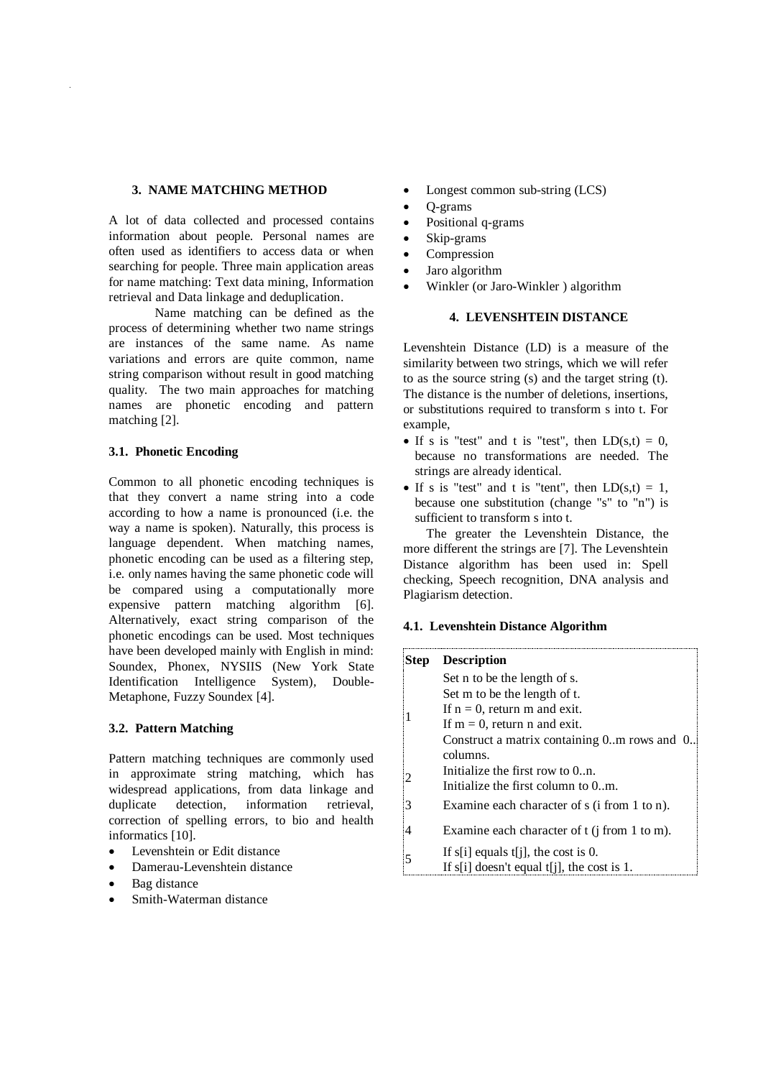### **3. NAME MATCHING METHOD**

A lot of data collected and processed contains information about people. Personal names are often used as identifiers to access data or when searching for people. Three main application areas for name matching: Text data mining, Information retrieval and Data linkage and deduplication.

Name matching can be defined as the process of determining whether two name strings are instances of the same name. As name variations and errors are quite common, name string comparison without result in good matching quality. The two main approaches for matching names are phonetic encoding and pattern matching [2].

## **3.1. Phonetic Encoding**

Common to all phonetic encoding techniques is that they convert a name string into a code according to how a name is pronounced (i.e. the way a name is spoken). Naturally, this process is language dependent. When matching names, phonetic encoding can be used as a filtering step, i.e. only names having the same phonetic code will be compared using a computationally more expensive pattern matching algorithm [6]. Alternatively, exact string comparison of the phonetic encodings can be used. Most techniques have been developed mainly with English in mind: Soundex, Phonex, NYSIIS (New York State Identification Intelligence System)*,* Double-Metaphone, Fuzzy Soundex [4].

## **3.2. Pattern Matching**

Pattern matching techniques are commonly used in approximate string matching, which has widespread applications, from data linkage and duplicate detection, information retrieval, correction of spelling errors, to bio and health informatics [10].

- Levenshtein or Edit distance
- Damerau-Levenshtein distance
- Bag distance
- Smith-Waterman distance
- Longest common sub-string (LCS)
- Q-grams
- Positional q-grams
- Skip-grams
- Compression
- Jaro algorithm
- Winkler (or Jaro-Winkler ) algorithm

## **4. LEVENSHTEIN DISTANCE**

Levenshtein Distance (LD) is a measure of the similarity between two strings, which we will refer to as the source string (s) and the target string (t). The distance is the number of deletions, insertions, or substitutions required to transform s into t. For example,

- If s is "test" and t is "test", then  $LD(s,t) = 0$ , because no transformations are needed. The strings are already identical.
- If s is "test" and t is "tent", then  $LD(s,t) = 1$ , because one substitution (change "s" to "n") is sufficient to transform s into t.

The greater the Levenshtein Distance, the more different the strings are [7]. The Levenshtein Distance algorithm has been used in: Spell checking, Speech recognition, DNA analysis and Plagiarism detection.

#### **4.1. Levenshtein Distance Algorithm**

| Step | <b>Description</b>                              |
|------|-------------------------------------------------|
|      | Set n to be the length of s.                    |
|      | Set m to be the length of t.                    |
|      | If $n = 0$ , return m and exit.                 |
|      | If $m = 0$ , return n and exit.                 |
|      | Construct a matrix containing 0. m rows and 0.  |
|      | columns.                                        |
|      | Initialize the first row to $0_{\dots}$ n.      |
|      | Initialize the first column to 0m.              |
| 3    | Examine each character of s (i from 1 to n).    |
|      | Examine each character of $t$ (j from 1 to m).  |
| 5    | If s[i] equals t[j], the cost is 0.             |
|      | If $s[i]$ doesn't equal $t[i]$ , the cost is 1. |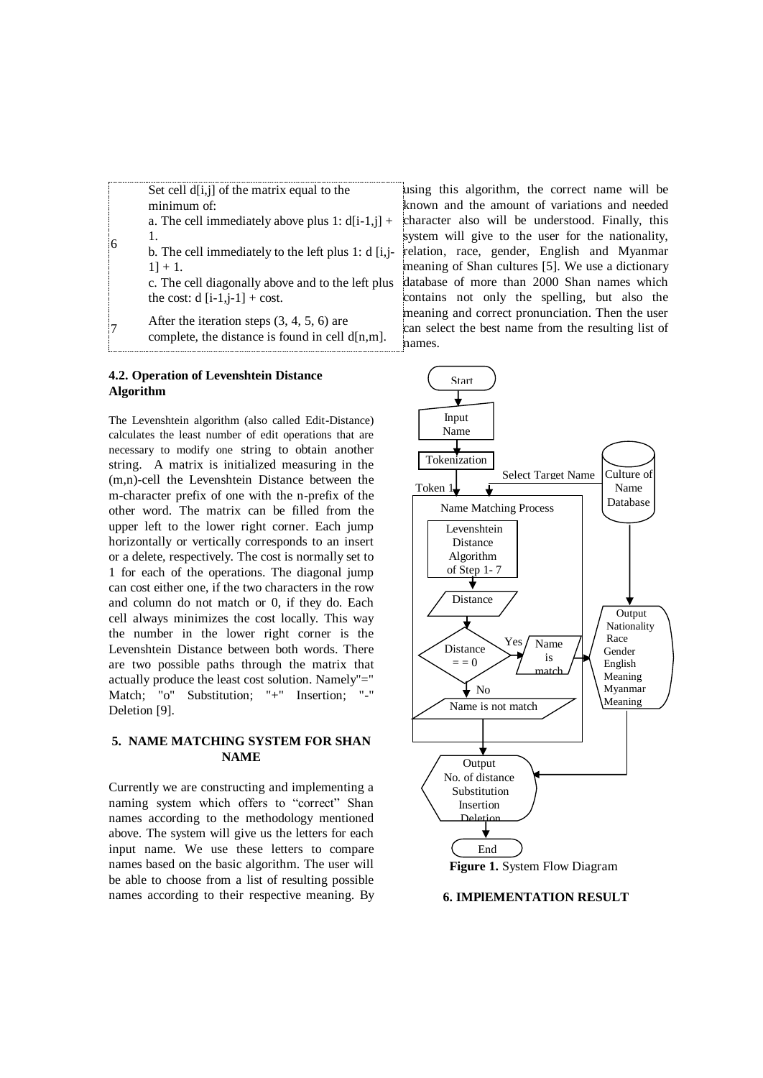Set cell  $d[i,j]$  of the matrix equal to the minimum of:

a. The cell immediately above plus 1:  $d[i-1,j]$  + 1.

b. The cell immediately to the left plus 1: d [i,j- $1] + 1.$ 

c. The cell diagonally above and to the left plus the cost:  $d[i-1,j-1] + cost.$ 

 $|7$ After the iteration steps (3, 4, 5, 6) are complete, the distance is found in cell  $d[n,m]$ .

## **4.2. Operation of Levenshtein Distance Algorithm**

6

The Levenshtein algorithm (also called Edit-Distance) calculates the least number of edit operations that are necessary to modify one string to obtain another string. A matrix is initialized measuring in the (m,n)-cell the Levenshtein Distance between the m-character prefix of one with the n-prefix of the other word. The matrix can be filled from the upper left to the lower right corner. Each jump horizontally or vertically corresponds to an insert or a delete, respectively. The cost is normally set to 1 for each of the operations. The diagonal jump can cost either one, if the two characters in the row and column do not match or 0, if they do. Each cell always minimizes the cost locally. This way the number in the lower right corner is the Levenshtein Distance between both words. There are two possible paths through the matrix that actually produce the least cost solution. Namely"=" Match; "o" Substitution; "+" Insertion; "-" Deletion [9].

## **5. NAME MATCHING SYSTEM FOR SHAN NAME**

Currently we are constructing and implementing a naming system which offers to "correct" Shan names according to the methodology mentioned above. The system will give us the letters for each input name. We use these letters to compare names based on the basic algorithm. The user will be able to choose from a list of resulting possible names according to their respective meaning. By

using this algorithm, the correct name will be known and the amount of variations and needed character also will be understood. Finally, this system will give to the user for the nationality, relation, race, gender, English and Myanmar meaning of Shan cultures [5]. We use a dictionary database of more than 2000 Shan names which contains not only the spelling, but also the meaning and correct pronunciation. Then the user can select the best name from the resulting list of names.





**6. IMPlEMENTATION RESULT**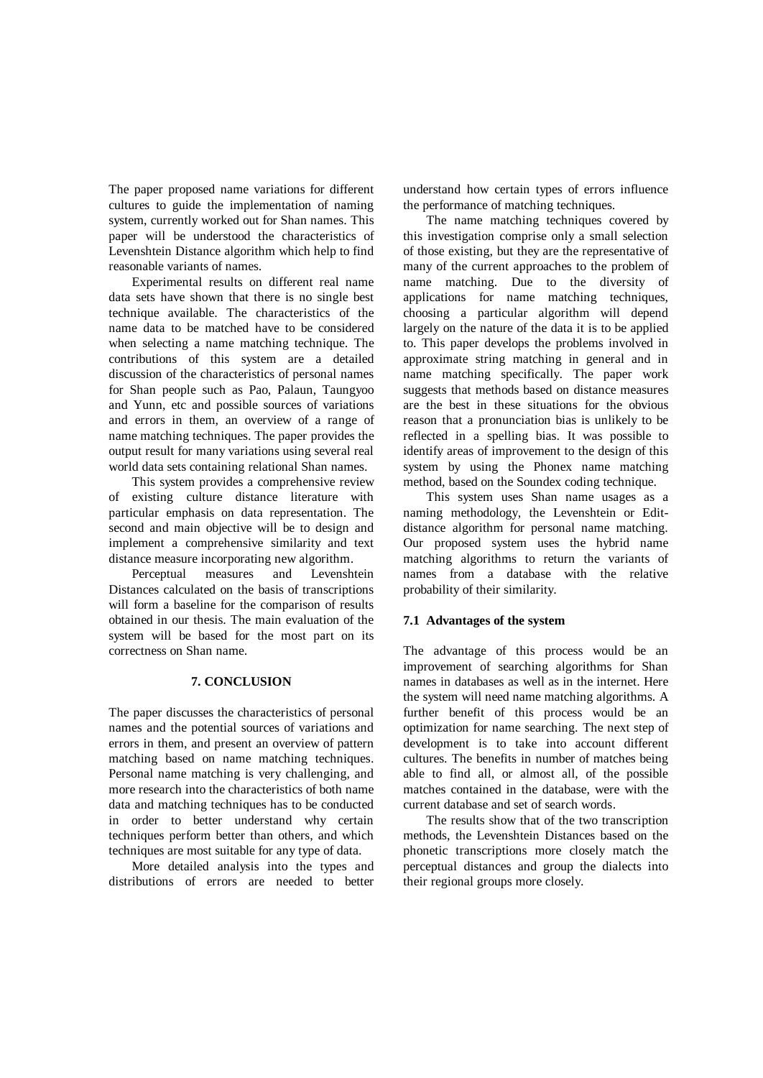The paper proposed name variations for different cultures to guide the implementation of naming system, currently worked out for Shan names. This paper will be understood the characteristics of Levenshtein Distance algorithm which help to find reasonable variants of names.

Experimental results on different real name data sets have shown that there is no single best technique available. The characteristics of the name data to be matched have to be considered when selecting a name matching technique. The contributions of this system are a detailed discussion of the characteristics of personal names for Shan people such as Pao, Palaun, Taungyoo and Yunn, etc and possible sources of variations and errors in them, an overview of a range of name matching techniques. The paper provides the output result for many variations using several real world data sets containing relational Shan names.

This system provides a comprehensive review of existing culture distance literature with particular emphasis on data representation. The second and main objective will be to design and implement a comprehensive similarity and text distance measure incorporating new algorithm.

Perceptual measures and Levenshtein Distances calculated on the basis of transcriptions will form a baseline for the comparison of results obtained in our thesis. The main evaluation of the system will be based for the most part on its correctness on Shan name.

## **7. CONCLUSION**

The paper discusses the characteristics of personal names and the potential sources of variations and errors in them, and present an overview of pattern matching based on name matching techniques. Personal name matching is very challenging, and more research into the characteristics of both name data and matching techniques has to be conducted in order to better understand why certain techniques perform better than others, and which techniques are most suitable for any type of data.

More detailed analysis into the types and distributions of errors are needed to better understand how certain types of errors influence the performance of matching techniques.

The name matching techniques covered by this investigation comprise only a small selection of those existing, but they are the representative of many of the current approaches to the problem of name matching. Due to the diversity of applications for name matching techniques, choosing a particular algorithm will depend largely on the nature of the data it is to be applied to. This paper develops the problems involved in approximate string matching in general and in name matching specifically. The paper work suggests that methods based on distance measures are the best in these situations for the obvious reason that a pronunciation bias is unlikely to be reflected in a spelling bias. It was possible to identify areas of improvement to the design of this system by using the Phonex name matching method, based on the Soundex coding technique.

This system uses Shan name usages as a naming methodology, the Levenshtein or Editdistance algorithm for personal name matching. Our proposed system uses the hybrid name matching algorithms to return the variants of names from a database with the relative probability of their similarity.

#### **7.1 Advantages of the system**

The advantage of this process would be an improvement of searching algorithms for Shan names in databases as well as in the internet. Here the system will need name matching algorithms. A further benefit of this process would be an optimization for name searching. The next step of development is to take into account different cultures. The benefits in number of matches being able to find all, or almost all, of the possible matches contained in the database, were with the current database and set of search words.

The results show that of the two transcription methods, the Levenshtein Distances based on the phonetic transcriptions more closely match the perceptual distances and group the dialects into their regional groups more closely.